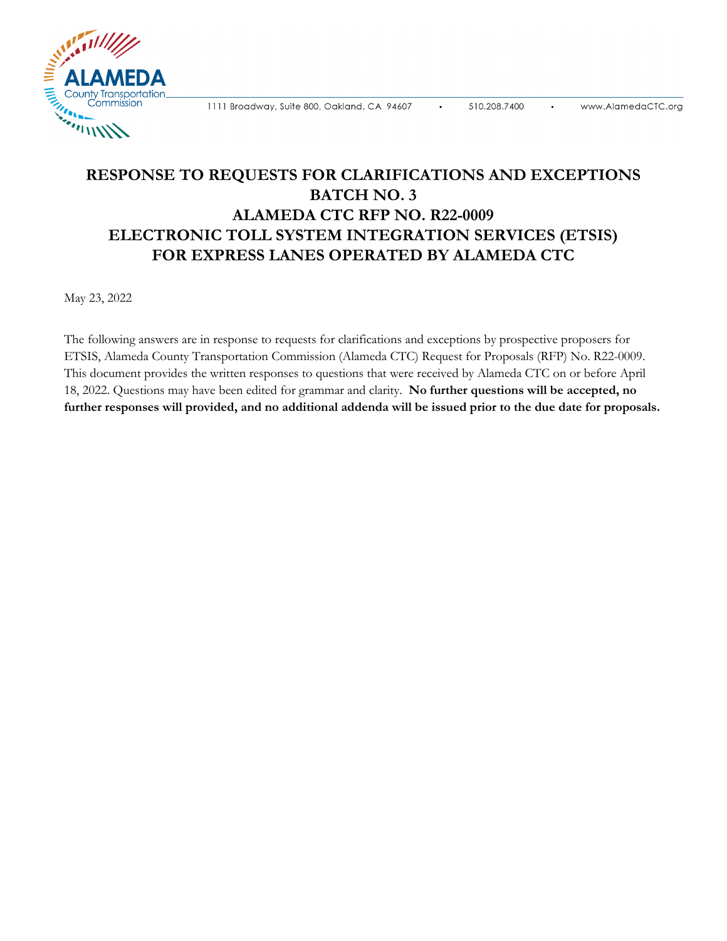**ELIMINATE** County Transportation Commission A MILITIAN

1111 Broadway, Suite 800, Oakland, CA 94607

## **RESPONSE TO REQUESTS FOR CLARIFICATIONS AND EXCEPTIONS BATCH NO. 3 ALAMEDA CTC RFP NO. R22-0009 ELECTRONIC TOLL SYSTEM INTEGRATION SERVICES (ETSIS) FOR EXPRESS LANES OPERATED BY ALAMEDA CTC**

May 23, 2022

The following answers are in response to requests for clarifications and exceptions by prospective proposers for ETSIS, Alameda County Transportation Commission (Alameda CTC) Request for Proposals (RFP) No. R22-0009. This document provides the written responses to questions that were received by Alameda CTC on or before April 18, 2022. Questions may have been edited for grammar and clarity. **No further questions will be accepted, no further responses will provided, and no additional addenda will be issued prior to the due date for proposals.**